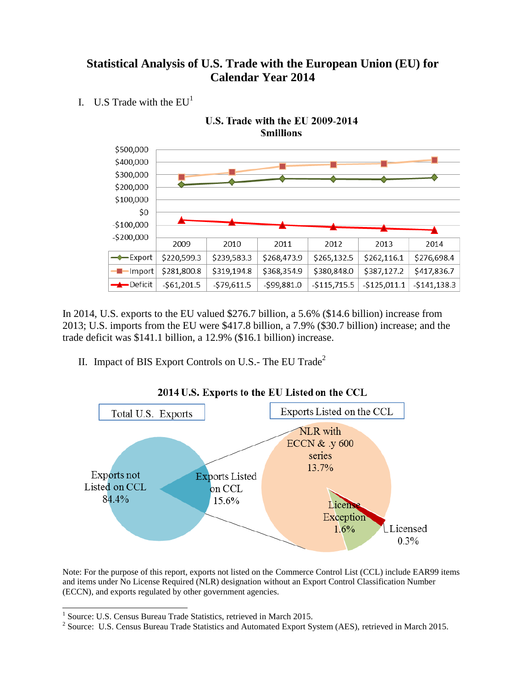### **Statistical Analysis of U.S. Trade with the European Union (EU) for Calendar Year 2014**

I. U.S Trade with the  $EU<sup>1</sup>$ 



In 2014, U.S. exports to the EU valued \$276.7 billion, a 5.6% (\$14.6 billion) increase from 2013; U.S. imports from the EU were \$417.8 billion, a 7.9% (\$30.7 billion) increase; and the trade deficit was \$141.1 billion, a 12.9% (\$16.1 billion) increase.

II. Impact of BIS Export Controls on U.S.- The EU Trade<sup>2</sup>



2014 U.S. Exports to the EU Listed on the CCL

Note: For the purpose of this report, exports not listed on the Commerce Control List (CCL) include EAR99 items and items under No License Required (NLR) designation without an Export Control Classification Number (ECCN), and exports regulated by other government agencies.

 1 Source: U.S. Census Bureau Trade Statistics, retrieved in March 2015.

<sup>&</sup>lt;sup>2</sup> Source: U.S. Census Bureau Trade Statistics and Automated Export System (AES), retrieved in March 2015.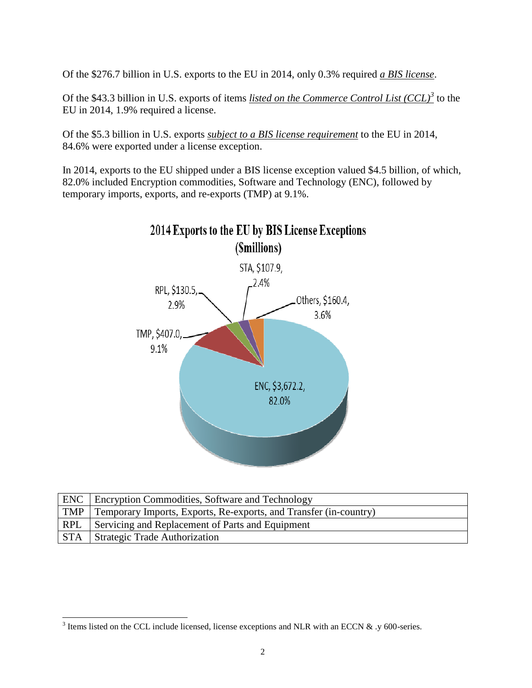Of the \$276.7 billion in U.S. exports to the EU in 2014, only 0.3% required *a BIS license*.

Of the \$43.3 billion in U.S. exports of items *listed on the Commerce Control List (CCL)<sup>3</sup>* to the EU in 2014, 1.9% required a license.

Of the \$5.3 billion in U.S. exports *subject to a BIS license requirement* to the EU in 2014, 84.6% were exported under a license exception.

In 2014, exports to the EU shipped under a BIS license exception valued \$4.5 billion, of which, 82.0% included Encryption commodities, Software and Technology (ENC), followed by temporary imports, exports, and re-exports (TMP) at 9.1%.



|     | <b>ENC</b> Encryption Commodities, Software and Technology              |
|-----|-------------------------------------------------------------------------|
|     | TMP   Temporary Imports, Exports, Re-exports, and Transfer (in-country) |
| RPL | Servicing and Replacement of Parts and Equipment                        |
|     | <b>STA</b> Strategic Trade Authorization                                |

<sup>&</sup>lt;sup>3</sup> Items listed on the CCL include licensed, license exceptions and NLR with an ECCN & .y 600-series.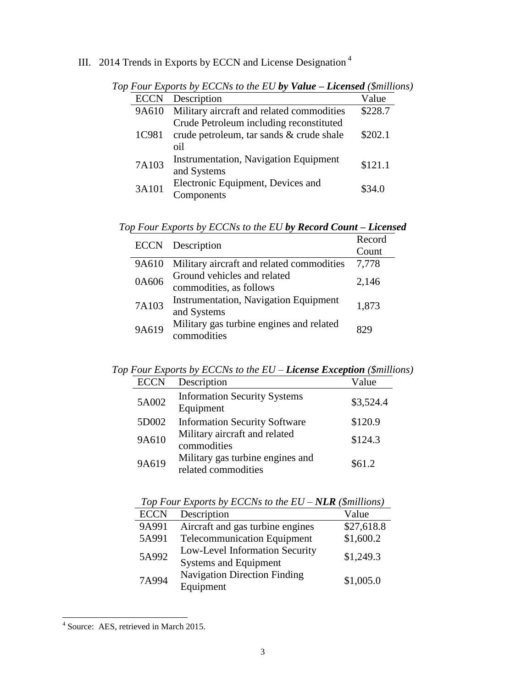## III. 2014 Trends in Exports by ECCN and License Designation <sup>4</sup>

| <b>ECCN</b> | Description                                  | Value   |  |
|-------------|----------------------------------------------|---------|--|
| 9A610       | Military aircraft and related commodities    | \$228.7 |  |
|             | Crude Petroleum including reconstituted      |         |  |
| 1C981       | crude petroleum, tar sands & crude shale     | \$202.1 |  |
|             | oil                                          |         |  |
| 7A103       | <b>Instrumentation, Navigation Equipment</b> | \$121.1 |  |
|             | and Systems                                  |         |  |
| 3A101       | Electronic Equipment, Devices and            | \$34.0  |  |
|             | Components                                   |         |  |

*Top Four Exports by ECCNs to the EU by Value – Licensed (\$millions)*

|  |  | Top Four Exports by ECCNs to the EU by Record Count - Licensed |  |  |  |
|--|--|----------------------------------------------------------------|--|--|--|
|  |  |                                                                |  |  |  |

|       | <b>ECCN</b> Description                                     | Record<br>Count |
|-------|-------------------------------------------------------------|-----------------|
| 9A610 | Military aircraft and related commodities                   | 7,778           |
| 0A606 | Ground vehicles and related<br>commodities, as follows      | 2,146           |
| 7A103 | <b>Instrumentation, Navigation Equipment</b><br>and Systems | 1,873           |
| 9A619 | Military gas turbine engines and related<br>commodities     | 829             |

*Top Four Exports by ECCNs to the EU – License Exception (\$millions)*

| <b>ECCN</b> | Description                                             | Value     |
|-------------|---------------------------------------------------------|-----------|
| 5A002       | <b>Information Security Systems</b><br>Equipment        | \$3,524.4 |
| 5D002       | <b>Information Security Software</b>                    | \$120.9   |
| 9A610       | Military aircraft and related<br>commodities            | \$124.3   |
| 9A619       | Military gas turbine engines and<br>related commodities | \$61.2    |

| Top Four Exports by ECCNs to the $EU-NLR$ (Smillions) |                                                                |            |  |  |
|-------------------------------------------------------|----------------------------------------------------------------|------------|--|--|
| <b>ECCN</b>                                           | Description                                                    | Value      |  |  |
| 9A991                                                 | Aircraft and gas turbine engines                               | \$27,618.8 |  |  |
| 5A991                                                 | <b>Telecommunication Equipment</b>                             | \$1,600.2  |  |  |
| 5A992                                                 | Low-Level Information Security<br><b>Systems and Equipment</b> | \$1,249.3  |  |  |
| 7A994                                                 | <b>Navigation Direction Finding</b><br>Equipment               | \$1,005.0  |  |  |

 $T_{\alpha}$   $F_{\alpha}$   $F_{\alpha}$   $F_{\alpha}$   $F_{\alpha}$   $F_{\alpha}$   $F_{\alpha}$   $F_{\alpha}$   $F_{\alpha}$   $F_{\alpha}$   $F_{\alpha}$   $F_{\alpha}$   $F_{\alpha}$   $F_{\alpha}$   $F_{\alpha}$   $F_{\alpha}$   $F_{\alpha}$   $F_{\alpha}$   $F_{\alpha}$   $F_{\alpha}$   $F_{\alpha}$   $F_{\alpha}$   $F_{\alpha}$   $F_{\alpha}$   $F_{\alpha}$   $F_{\alpha}$   $F_{\alpha}$   $F_{\alpha$ 

 4 Source: AES, retrieved in March 2015.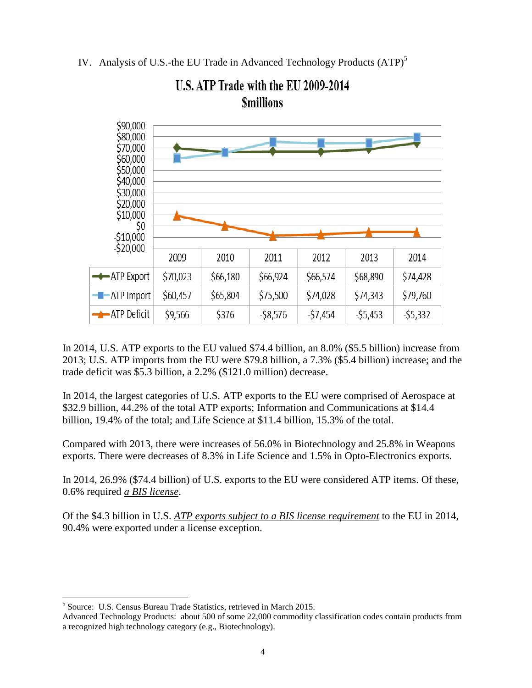IV. Analysis of U.S.-the EU Trade in Advanced Technology Products (ATP)<sup>5</sup>



# U.S. ATP Trade with the EU 2009-2014 **Smillions**

In 2014, U.S. ATP exports to the EU valued \$74.4 billion, an 8.0% (\$5.5 billion) increase from 2013; U.S. ATP imports from the EU were \$79.8 billion, a 7.3% (\$5.4 billion) increase; and the trade deficit was \$5.3 billion, a 2.2% (\$121.0 million) decrease.

In 2014, the largest categories of U.S. ATP exports to the EU were comprised of Aerospace at \$32.9 billion, 44.2% of the total ATP exports; Information and Communications at \$14.4 billion, 19.4% of the total; and Life Science at \$11.4 billion, 15.3% of the total.

Compared with 2013, there were increases of 56.0% in Biotechnology and 25.8% in Weapons exports. There were decreases of 8.3% in Life Science and 1.5% in Opto-Electronics exports.

In 2014, 26.9% (\$74.4 billion) of U.S. exports to the EU were considered ATP items. Of these, 0.6% required *a BIS license*.

Of the \$4.3 billion in U.S. *ATP exports subject to a BIS license requirement* to the EU in 2014, 90.4% were exported under a license exception.

 $\overline{a}$ 

<sup>&</sup>lt;sup>5</sup> Source: U.S. Census Bureau Trade Statistics, retrieved in March 2015.

Advanced Technology Products: about 500 of some 22,000 commodity classification codes contain products from a recognized high technology category (e.g., Biotechnology).